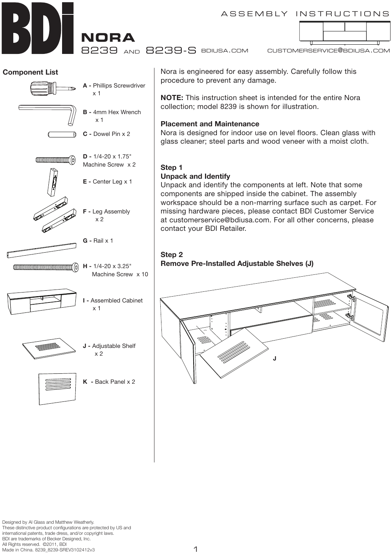ASSEMBLY INSTRUCTIONS

**nora**

8239 and 8239-S

bdiusa.com customerservice@bdiusa.com

# **Component List**



Nora is engineered for easy assembly. Carefully follow this procedure to prevent any damage.

**NOTE:** This instruction sheet is intended for the entire Nora collection; model 8239 is shown for illustration.

### **Placement and Maintenance**

Nora is designed for indoor use on level floors. Clean glass with glass cleaner; steel parts and wood veneer with a moist cloth.

## **Step 1**

# **Unpack and Identify**

Unpack and identify the components at left. Note that some components are shipped inside the cabinet. The assembly workspace should be a non-marring surface such as carpet. For missing hardware pieces, please contact BDI Customer Service at customerservice@bdiusa.com. For all other concerns, please contact your BDI Retailer.

### **Step 2 Remove Pre-Installed Adjustable Shelves (J)**

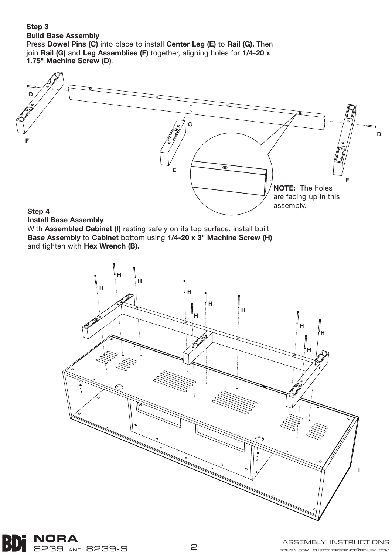### **Step 3 Build Base Assembly** Press **Dowel Pins (C)** into place to install **Center Leg (E)** to **Rail (G).** Then join **Rail (G)** and **Leg Assemblies (F)** together, aligning holes for **1/4-20 x 1.75" Machine Screw (D)**.



# **Step 4**

#### **Install Base Assembly**

With **Assembled Cabinet (I)** resting safely on its top surface, install built **Base Assembly** to **Cabinet** bottom using **1/4-20 x 3" Machine Screw (H)**  and tighten with **Hex Wrench (B).**



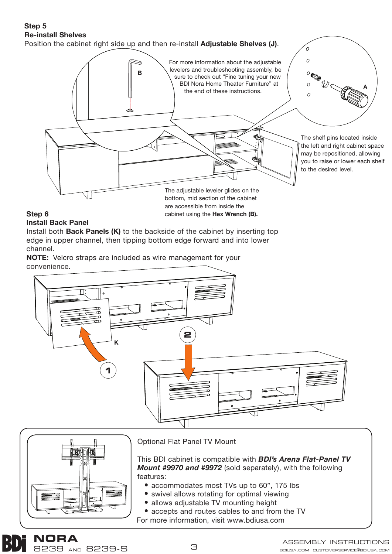# **Step 5 Re-install Shelves**

Position the cabinet right side up and then re-install **Adjustable Shelves (J)**.



cabinet using the **Hex Wrench (B).** 

# **Step 6**

# **Install Back Panel**

**nora**

8239 and 8239-S

Install both **Back Panels (K)** to the backside of the cabinet by inserting top edge in upper channel, then tipping bottom edge forward and into lower channel.

**NOTE:** Velcro straps are included as wire management for your convenience.